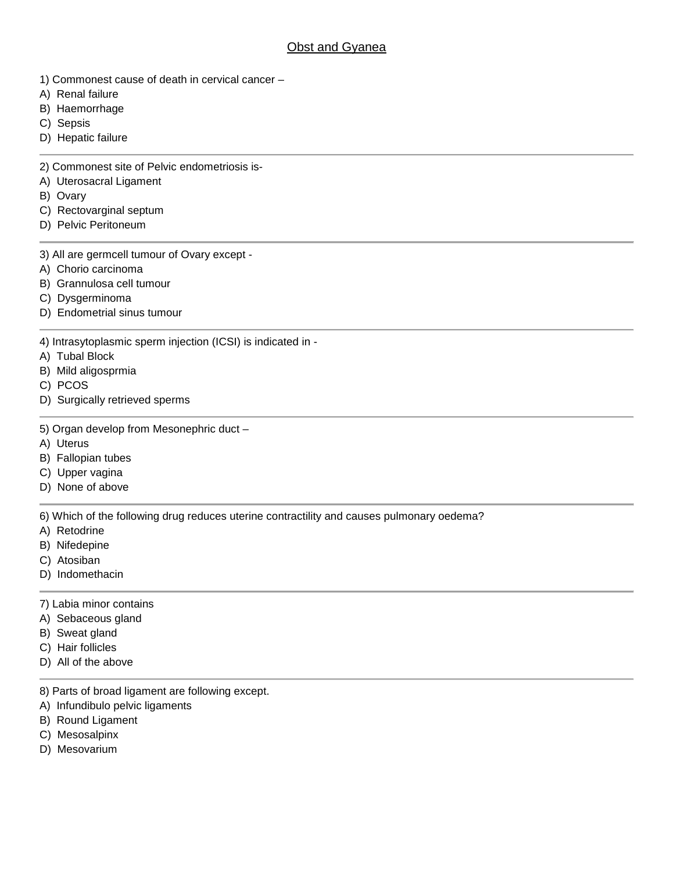## **Obst and Gyanea**

- 1) Commonest cause of death in cervical cancer –
- A) Renal failure
- B) Haemorrhage
- C) Sepsis
- D) Hepatic failure

2) Commonest site of Pelvic endometriosis is-

- A) Uterosacral Ligament
- B) Ovary
- C) Rectovarginal septum
- D) Pelvic Peritoneum
- 3) All are germcell tumour of Ovary except -
- A) Chorio carcinoma
- B) Grannulosa cell tumour
- C) Dysgerminoma
- D) Endometrial sinus tumour

4) Intrasytoplasmic sperm injection (ICSI) is indicated in -

- A) Tubal Block
- B) Mild aligosprmia
- C) PCOS
- D) Surgically retrieved sperms
- 5) Organ develop from Mesonephric duct –
- A) Uterus
- B) Fallopian tubes
- C) Upper vagina
- D) None of above

6) Which of the following drug reduces uterine contractility and causes pulmonary oedema?

- A) Retodrine
- B) Nifedepine
- C) Atosiban
- D) Indomethacin
- 7) Labia minor contains
- A) Sebaceous gland
- B) Sweat gland
- C) Hair follicles
- D) All of the above
- 8) Parts of broad ligament are following except.
- A) Infundibulo pelvic ligaments
- B) Round Ligament
- C) Mesosalpinx
- D) Mesovarium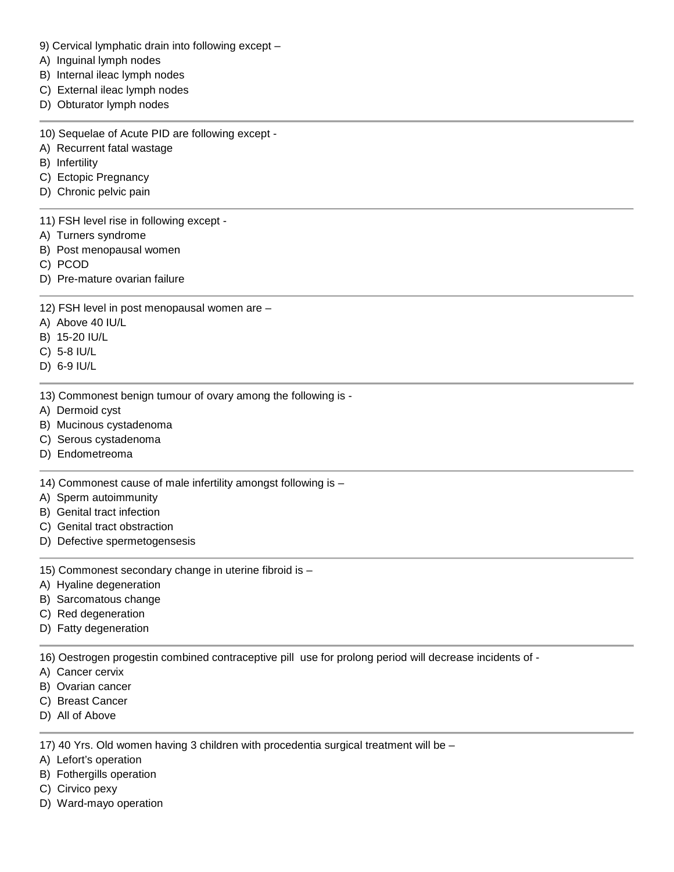- 9) Cervical lymphatic drain into following except –
- A) Inguinal lymph nodes
- B) Internal ileac lymph nodes
- C) External ileac lymph nodes
- D) Obturator lymph nodes
- 10) Sequelae of Acute PID are following except -
- A) Recurrent fatal wastage
- B) Infertility
- C) Ectopic Pregnancy
- D) Chronic pelvic pain
- 11) FSH level rise in following except -
- A) Turners syndrome
- B) Post menopausal women
- C) PCOD
- D) Pre-mature ovarian failure
- 12) FSH level in post menopausal women are –
- A) Above 40 IU/L
- B) 15-20 IU/L
- C) 5-8 IU/L
- D) 6-9 IU/L
- 13) Commonest benign tumour of ovary among the following is -
- A) Dermoid cyst
- B) Mucinous cystadenoma
- C) Serous cystadenoma
- D) Endometreoma

14) Commonest cause of male infertility amongst following is –

- A) Sperm autoimmunity
- B) Genital tract infection
- C) Genital tract obstraction
- D) Defective spermetogensesis

15) Commonest secondary change in uterine fibroid is –

- A) Hyaline degeneration
- B) Sarcomatous change
- C) Red degeneration
- D) Fatty degeneration

16) Oestrogen progestin combined contraceptive pill use for prolong period will decrease incidents of -

- A) Cancer cervix
- B) Ovarian cancer
- C) Breast Cancer
- D) All of Above

17) 40 Yrs. Old women having 3 children with procedentia surgical treatment will be –

- A) Lefort's operation
- B) Fothergills operation
- C) Cirvico pexy
- D) Ward-mayo operation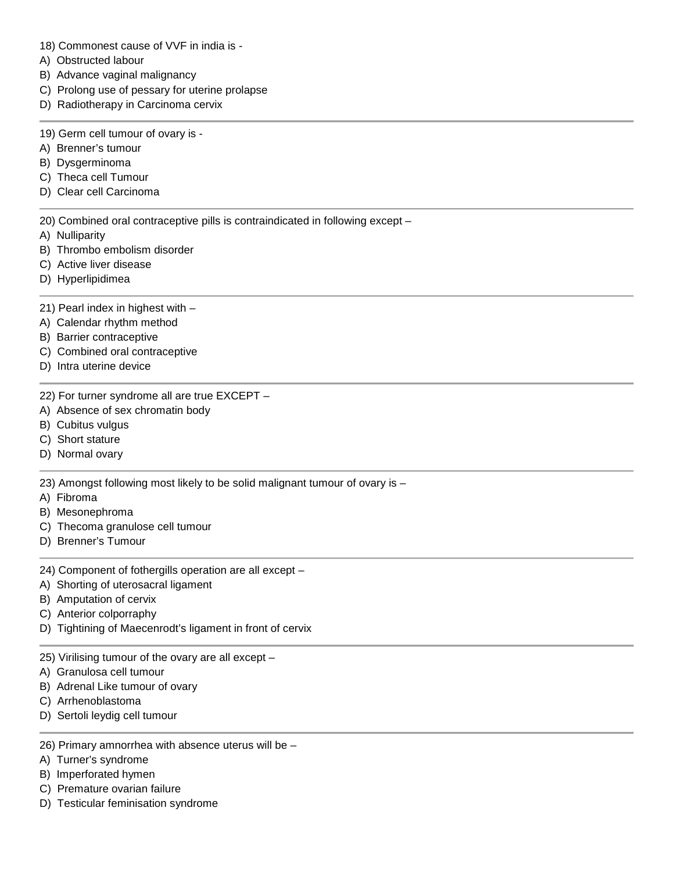- 18) Commonest cause of VVF in india is -
- A) Obstructed labour
- B) Advance vaginal malignancy
- C) Prolong use of pessary for uterine prolapse
- D) Radiotherapy in Carcinoma cervix
- 19) Germ cell tumour of ovary is -
- A) Brenner's tumour
- B) Dysgerminoma
- C) Theca cell Tumour
- D) Clear cell Carcinoma

20) Combined oral contraceptive pills is contraindicated in following except –

- A) Nulliparity
- B) Thrombo embolism disorder
- C) Active liver disease
- D) Hyperlipidimea
- 21) Pearl index in highest with –
- A) Calendar rhythm method
- B) Barrier contraceptive
- C) Combined oral contraceptive
- D) Intra uterine device
- 22) For turner syndrome all are true EXCEPT –
- A) Absence of sex chromatin body
- B) Cubitus vulgus
- C) Short stature
- D) Normal ovary

23) Amongst following most likely to be solid malignant tumour of ovary is –

- A) Fibroma
- B) Mesonephroma
- C) Thecoma granulose cell tumour
- D) Brenner's Tumour
- 24) Component of fothergills operation are all except –
- A) Shorting of uterosacral ligament
- B) Amputation of cervix
- C) Anterior colporraphy
- D) Tightining of Maecenrodt's ligament in front of cervix
- 25) Virilising tumour of the ovary are all except –
- A) Granulosa cell tumour
- B) Adrenal Like tumour of ovary
- C) Arrhenoblastoma
- D) Sertoli leydig cell tumour
- 26) Primary amnorrhea with absence uterus will be –
- A) Turner's syndrome
- B) Imperforated hymen
- C) Premature ovarian failure
- D) Testicular feminisation syndrome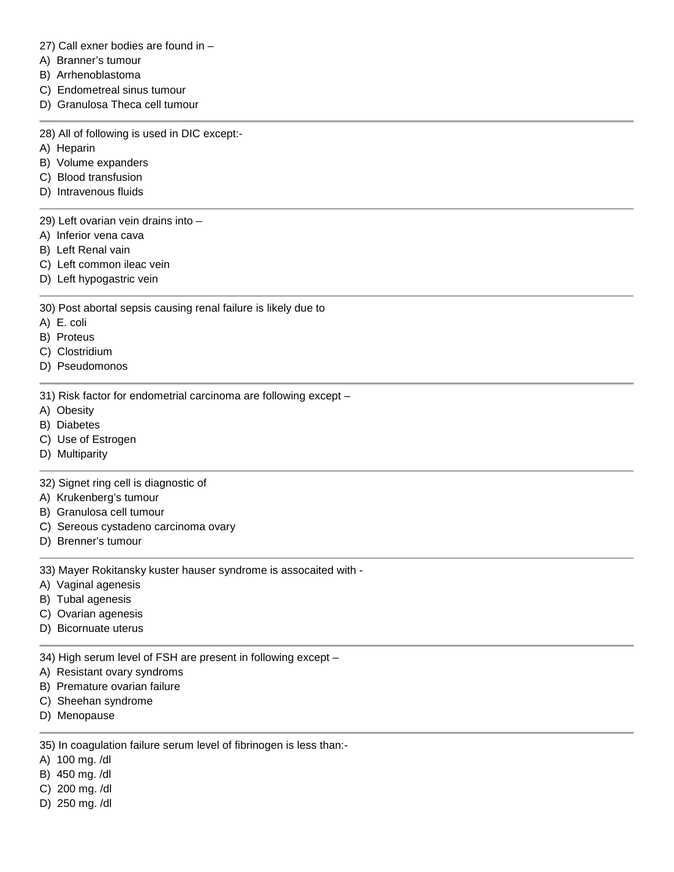27) Call exner bodies are found in –

- A) Branner's tumour
- B) Arrhenoblastoma
- C) Endometreal sinus tumour
- D) Granulosa Theca cell tumour

28) All of following is used in DIC except:-

- A) Heparin
- B) Volume expanders
- C) Blood transfusion
- D) Intravenous fluids
- 29) Left ovarian vein drains into –
- A) Inferior vena cava
- B) Left Renal vain
- C) Left common ileac vein
- D) Left hypogastric vein

30) Post abortal sepsis causing renal failure is likely due to

- A) E. coli
- B) Proteus
- C) Clostridium
- D) Pseudomonos
- 31) Risk factor for endometrial carcinoma are following except –
- A) Obesity
- B) Diabetes
- C) Use of Estrogen
- D) Multiparity

32) Signet ring cell is diagnostic of

- A) Krukenberg's tumour
- B) Granulosa cell tumour
- C) Sereous cystadeno carcinoma ovary
- D) Brenner's tumour

33) Mayer Rokitansky kuster hauser syndrome is assocaited with -

- A) Vaginal agenesis
- B) Tubal agenesis
- C) Ovarian agenesis
- D) Bicornuate uterus

34) High serum level of FSH are present in following except –

- A) Resistant ovary syndroms
- B) Premature ovarian failure
- C) Sheehan syndrome
- D) Menopause

35) In coagulation failure serum level of fibrinogen is less than:-

- A) 100 mg. /dl
- B) 450 mg. /dl
- C) 200 mg. /dl
- D) 250 mg. /dl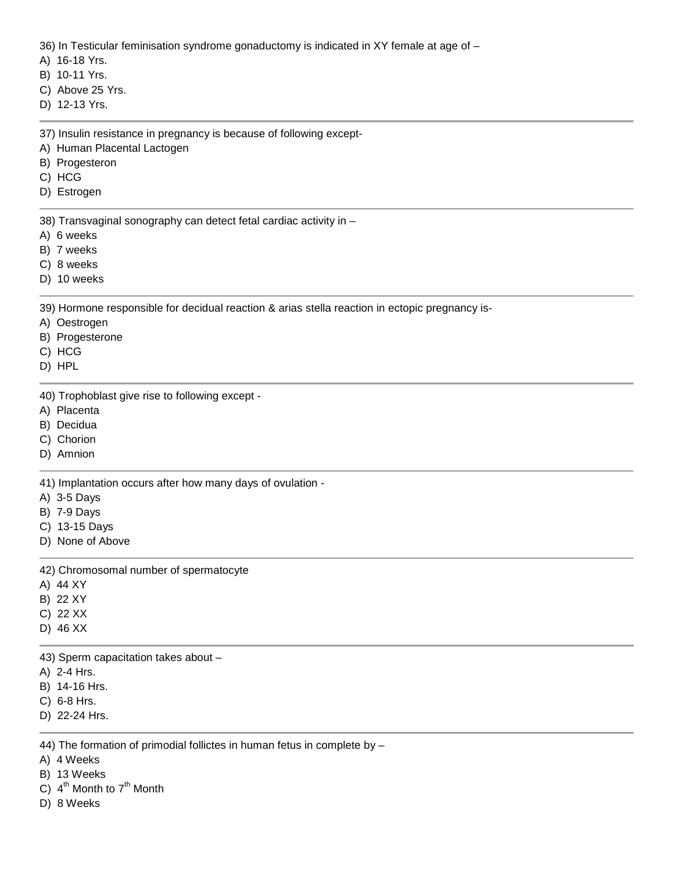36) In Testicular feminisation syndrome gonaductomy is indicated in XY female at age of –

A) 16-18 Yrs.

B) 10-11 Yrs.

C) Above 25 Yrs.

D) 12-13 Yrs.

37) Insulin resistance in pregnancy is because of following except-

- A) Human Placental Lactogen
- B) Progesteron
- C) HCG
- D) Estrogen

38) Transvaginal sonography can detect fetal cardiac activity in –

- A) 6 weeks
- B) 7 weeks
- C) 8 weeks
- D) 10 weeks

39) Hormone responsible for decidual reaction & arias stella reaction in ectopic pregnancy is-

- A) Oestrogen
- B) Progesterone
- C) HCG
- D) HPL

40) Trophoblast give rise to following except -

- A) Placenta
- B) Decidua
- C) Chorion
- D) Amnion

41) Implantation occurs after how many days of ovulation -

- A) 3-5 Days
- B) 7-9 Days
- C) 13-15 Days
- D) None of Above

42) Chromosomal number of spermatocyte

- A) 44 XY
- B) 22 XY
- C) 22 XX
- D) 46 XX

43) Sperm capacitation takes about –

- A) 2-4 Hrs.
- B) 14-16 Hrs.
- C) 6-8 Hrs.
- D) 22-24 Hrs.

44) The formation of primodial follictes in human fetus in complete by –

A) 4 Weeks

- B) 13 Weeks
- C)  $4^{\text{th}}$  Month to  $7^{\text{th}}$  Month
- D) 8 Weeks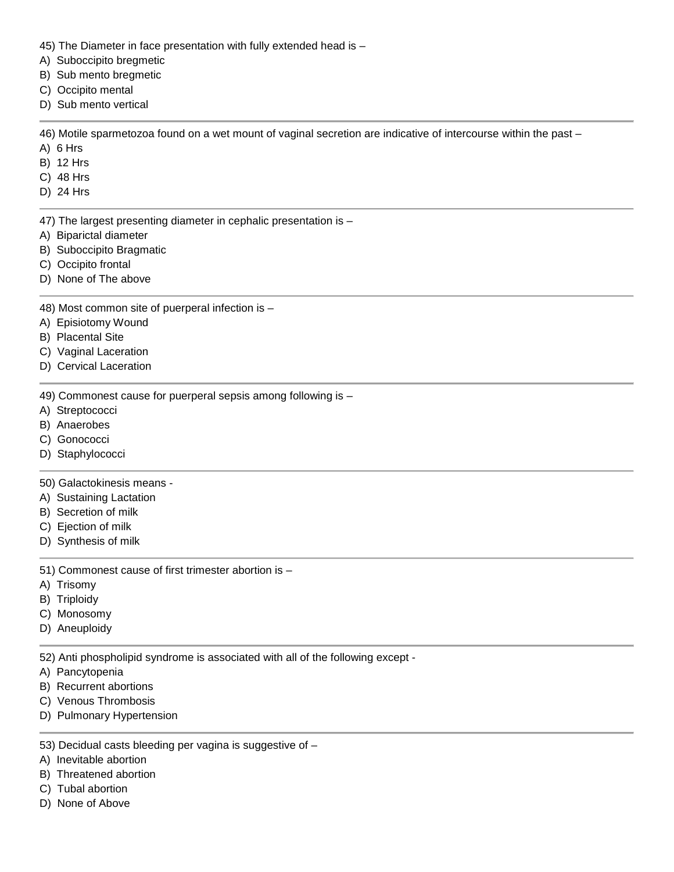- 45) The Diameter in face presentation with fully extended head is –
- A) Suboccipito bregmetic
- B) Sub mento bregmetic
- C) Occipito mental
- D) Sub mento vertical

46) Motile sparmetozoa found on a wet mount of vaginal secretion are indicative of intercourse within the past –

- A) 6 Hrs
- B) 12 Hrs
- C) 48 Hrs
- D) 24 Hrs
- 47) The largest presenting diameter in cephalic presentation is –
- A) Biparictal diameter
- B) Suboccipito Bragmatic
- C) Occipito frontal
- D) None of The above
- 48) Most common site of puerperal infection is –
- A) Episiotomy Wound
- B) Placental Site
- C) Vaginal Laceration
- D) Cervical Laceration
- 49) Commonest cause for puerperal sepsis among following is –
- A) Streptococci
- B) Anaerobes
- C) Gonococci
- D) Staphylococci

## 50) Galactokinesis means -

- A) Sustaining Lactation
- B) Secretion of milk
- C) Ejection of milk
- D) Synthesis of milk

51) Commonest cause of first trimester abortion is –

- A) Trisomy
- B) Triploidy
- C) Monosomy
- D) Aneuploidy

52) Anti phospholipid syndrome is associated with all of the following except -

- A) Pancytopenia
- B) Recurrent abortions
- C) Venous Thrombosis
- D) Pulmonary Hypertension
- 53) Decidual casts bleeding per vagina is suggestive of –
- A) Inevitable abortion
- B) Threatened abortion
- C) Tubal abortion
- D) None of Above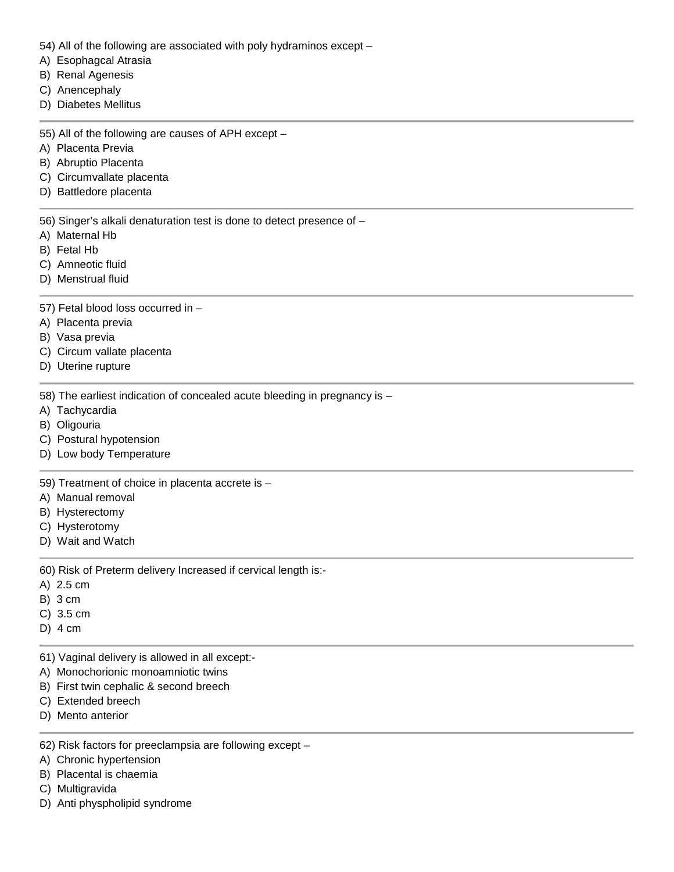- 54) All of the following are associated with poly hydraminos except –
- A) Esophagcal Atrasia
- B) Renal Agenesis
- C) Anencephaly
- D) Diabetes Mellitus
- 55) All of the following are causes of APH except –
- A) Placenta Previa
- B) Abruptio Placenta
- C) Circumvallate placenta
- D) Battledore placenta

56) Singer's alkali denaturation test is done to detect presence of –

- A) Maternal Hb
- B) Fetal Hb
- C) Amneotic fluid
- D) Menstrual fluid
- 57) Fetal blood loss occurred in –
- A) Placenta previa
- B) Vasa previa
- C) Circum vallate placenta
- D) Uterine rupture
- 58) The earliest indication of concealed acute bleeding in pregnancy is –
- A) Tachycardia
- B) Oligouria
- C) Postural hypotension
- D) Low body Temperature

59) Treatment of choice in placenta accrete is –

- A) Manual removal
- B) Hysterectomy
- C) Hysterotomy
- D) Wait and Watch

60) Risk of Preterm delivery Increased if cervical length is:-

- A) 2.5 cm
- B) 3 cm
- C) 3.5 cm
- D) 4 cm
- 61) Vaginal delivery is allowed in all except:-
- A) Monochorionic monoamniotic twins
- B) First twin cephalic & second breech
- C) Extended breech
- D) Mento anterior
- 62) Risk factors for preeclampsia are following except –
- A) Chronic hypertension
- B) Placental is chaemia
- C) Multigravida
- D) Anti physpholipid syndrome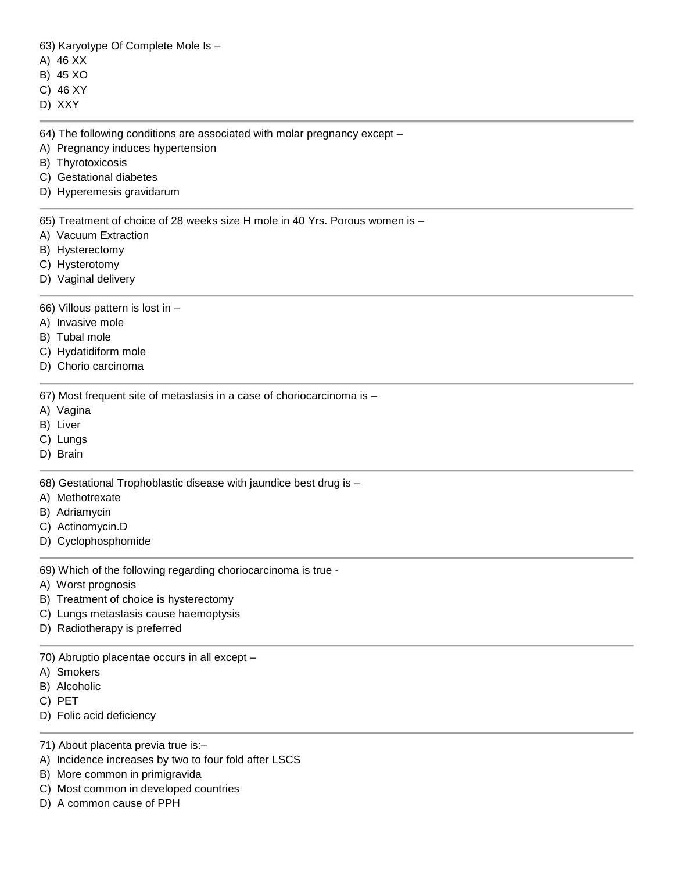63) Karyotype Of Complete Mole Is –

- A) 46 XX
- B) 45 XO
- C) 46 XY
- D) XXY
- 

64) The following conditions are associated with molar pregnancy except –

- A) Pregnancy induces hypertension
- B) Thyrotoxicosis
- C) Gestational diabetes
- D) Hyperemesis gravidarum

65) Treatment of choice of 28 weeks size H mole in 40 Yrs. Porous women is –

- A) Vacuum Extraction
- B) Hysterectomy
- C) Hysterotomy
- D) Vaginal delivery

66) Villous pattern is lost in –

- A) Invasive mole
- B) Tubal mole
- C) Hydatidiform mole
- D) Chorio carcinoma

67) Most frequent site of metastasis in a case of choriocarcinoma is –

- A) Vagina
- B) Liver
- C) Lungs
- D) Brain

68) Gestational Trophoblastic disease with jaundice best drug is –

- A) Methotrexate
- B) Adriamycin
- C) Actinomycin.D
- D) Cyclophosphomide

69) Which of the following regarding choriocarcinoma is true -

- A) Worst prognosis
- B) Treatment of choice is hysterectomy
- C) Lungs metastasis cause haemoptysis
- D) Radiotherapy is preferred

70) Abruptio placentae occurs in all except –

- A) Smokers
- B) Alcoholic
- C) PET
- D) Folic acid deficiency

71) About placenta previa true is:–

- A) Incidence increases by two to four fold after LSCS
- B) More common in primigravida
- C) Most common in developed countries
- D) A common cause of PPH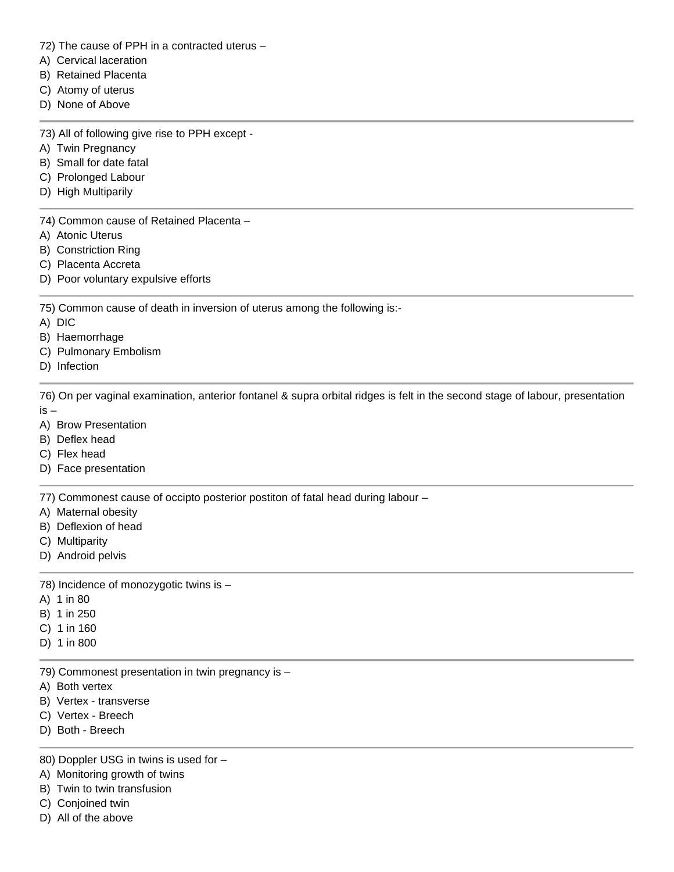72) The cause of PPH in a contracted uterus –

- A) Cervical laceration
- B) Retained Placenta
- C) Atomy of uterus
- D) None of Above

73) All of following give rise to PPH except -

- A) Twin Pregnancy
- B) Small for date fatal
- C) Prolonged Labour
- D) High Multiparily

74) Common cause of Retained Placenta –

- A) Atonic Uterus
- B) Constriction Ring
- C) Placenta Accreta
- D) Poor voluntary expulsive efforts

75) Common cause of death in inversion of uterus among the following is:-

- A) DIC
- B) Haemorrhage
- C) Pulmonary Embolism
- D) Infection

76) On per vaginal examination, anterior fontanel & supra orbital ridges is felt in the second stage of labour, presentation is –

- A) Brow Presentation
- B) Deflex head
- C) Flex head
- D) Face presentation

77) Commonest cause of occipto posterior postiton of fatal head during labour –

- A) Maternal obesity
- B) Deflexion of head
- C) Multiparity
- D) Android pelvis

78) Incidence of monozygotic twins is –

- A) 1 in 80
- B) 1 in 250
- C) 1 in 160
- D) 1 in 800

79) Commonest presentation in twin pregnancy is –

- A) Both vertex
- B) Vertex transverse
- C) Vertex Breech
- D) Both Breech

80) Doppler USG in twins is used for –

- A) Monitoring growth of twins
- B) Twin to twin transfusion
- C) Conjoined twin
- D) All of the above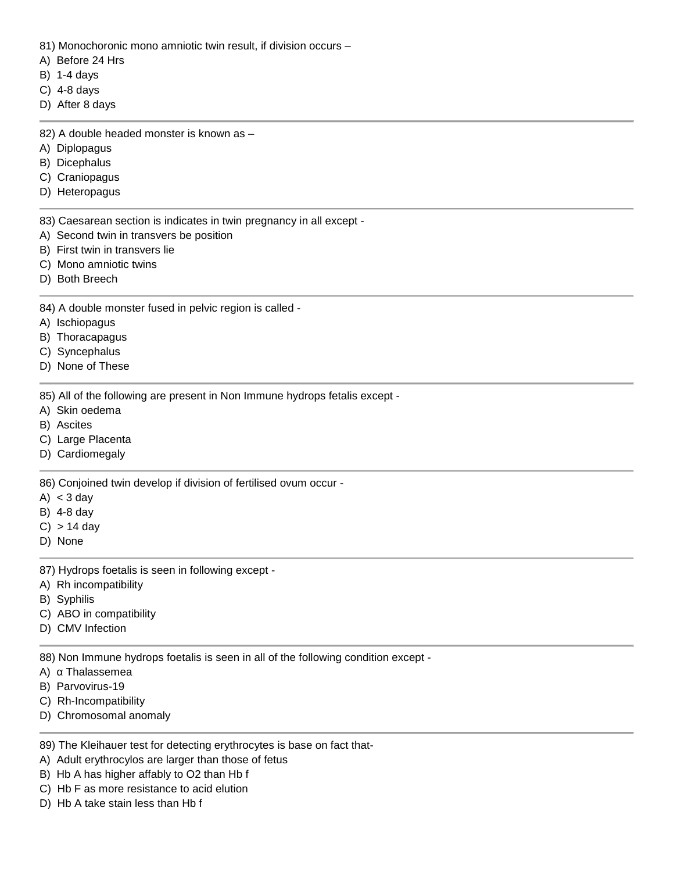81) Monochoronic mono amniotic twin result, if division occurs –

- A) Before 24 Hrs
- B) 1-4 days
- C) 4-8 days
- D) After 8 days

82) A double headed monster is known as –

- A) Diplopagus
- B) Dicephalus
- C) Craniopagus
- D) Heteropagus

83) Caesarean section is indicates in twin pregnancy in all except -

- A) Second twin in transvers be position
- B) First twin in transvers lie
- C) Mono amniotic twins
- D) Both Breech
- 84) A double monster fused in pelvic region is called -
- A) Ischiopagus
- B) Thoracapagus
- C) Syncephalus
- D) None of These

85) All of the following are present in Non Immune hydrops fetalis except -

- A) Skin oedema
- B) Ascites
- C) Large Placenta
- D) Cardiomegaly

86) Conjoined twin develop if division of fertilised ovum occur -

- A)  $<$  3 day
- B) 4-8 day
- $C) > 14$  day
- D) None

87) Hydrops foetalis is seen in following except -

- A) Rh incompatibility
- B) Syphilis
- C) ABO in compatibility
- D) CMV Infection

88) Non Immune hydrops foetalis is seen in all of the following condition except -

- A) Thalassemea
- B) Parvovirus-19
- C) Rh-Incompatibility
- D) Chromosomal anomaly

89) The Kleihauer test for detecting erythrocytes is base on fact that-

- A) Adult erythrocylos are larger than those of fetus
- B) Hb A has higher affably to O2 than Hb f
- C) Hb F as more resistance to acid elution
- D) Hb A take stain less than Hb f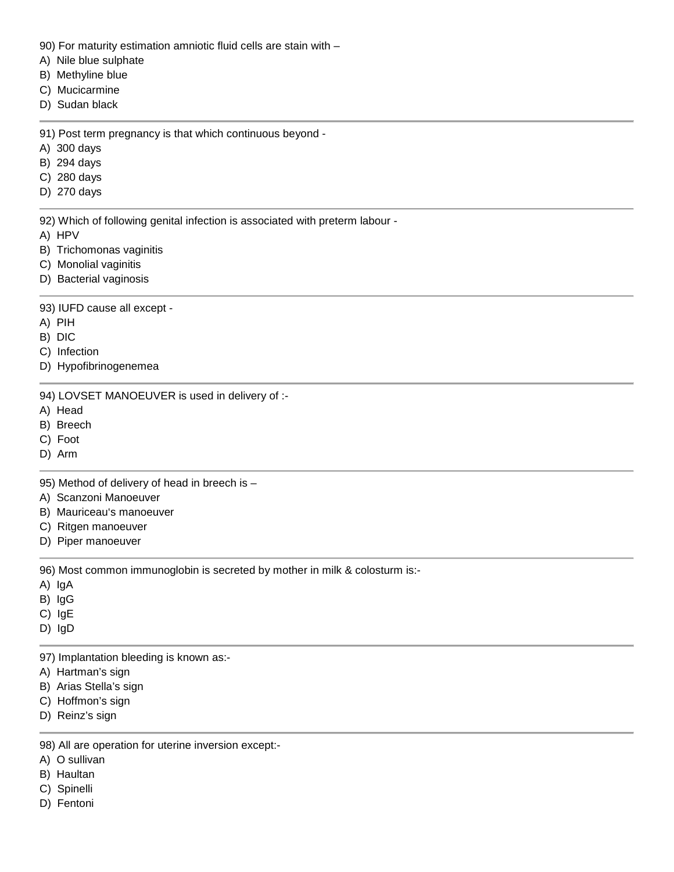- 90) For maturity estimation amniotic fluid cells are stain with –
- A) Nile blue sulphate
- B) Methyline blue
- C) Mucicarmine
- D) Sudan black
- 91) Post term pregnancy is that which continuous beyond -
- A) 300 days
- B) 294 days
- C) 280 days
- D) 270 days
- 92) Which of following genital infection is associated with preterm labour -
- A) HPV
- B) Trichomonas vaginitis
- C) Monolial vaginitis
- D) Bacterial vaginosis

## 93) IUFD cause all except -

- A) PIH
- B) DIC
- C) Infection
- D) Hypofibrinogenemea

94) LOVSET MANOEUVER is used in delivery of :-

- A) Head
- B) Breech
- C) Foot
- D) Arm

95) Method of delivery of head in breech is –

- A) Scanzoni Manoeuver
- B) Mauriceau's manoeuver
- C) Ritgen manoeuver
- D) Piper manoeuver

96) Most common immunoglobin is secreted by mother in milk & colosturm is:-

- A) IgA
- B) IgG
- C) IgE
- D) IgD

97) Implantation bleeding is known as:-

- A) Hartman's sign
- B) Arias Stella's sign
- C) Hoffmon's sign
- D) Reinz's sign

98) All are operation for uterine inversion except:-

- A) O sullivan
- B) Haultan
- C) Spinelli
- D) Fentoni